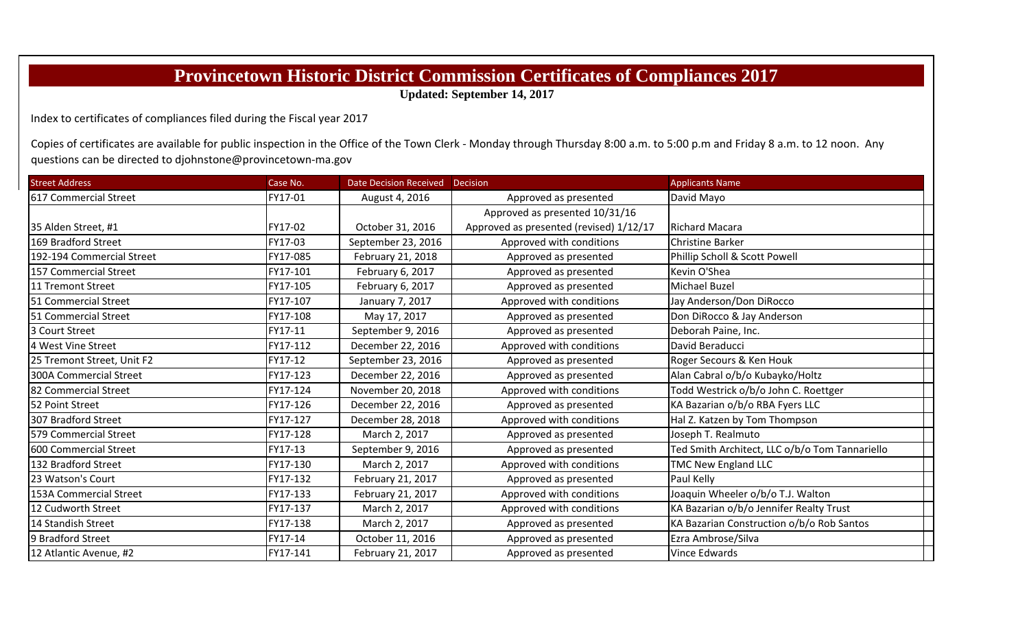## **Provincetown Historic District Commission Certificates of Compliances 2017**

**Updated: September 14, 2017**

Index to certificates of compliances filed during the Fiscal year 2017

Copies of certificates are available for public inspection in the Office of the Town Clerk - Monday through Thursday 8:00 a.m. to 5:00 p.m and Friday 8 a.m. to 12 noon. Any questions can be directed to djohnstone@provincetown‐ma.gov

| <b>Street Address</b>      | Case No. | Date Decision Received   Decision |                                         | <b>Applicants Name</b>                         |
|----------------------------|----------|-----------------------------------|-----------------------------------------|------------------------------------------------|
| 617 Commercial Street      | FY17-01  | August 4, 2016                    | Approved as presented                   | David Mayo                                     |
|                            |          |                                   | Approved as presented 10/31/16          |                                                |
| 35 Alden Street, #1        | FY17-02  | October 31, 2016                  | Approved as presented (revised) 1/12/17 | <b>Richard Macara</b>                          |
| 169 Bradford Street        | FY17-03  | September 23, 2016                | Approved with conditions                | <b>Christine Barker</b>                        |
| 192-194 Commercial Street  | FY17-085 | February 21, 2018                 | Approved as presented                   | Phillip Scholl & Scott Powell                  |
| 157 Commercial Street      | FY17-101 | February 6, 2017                  | Approved as presented                   | Kevin O'Shea                                   |
| 11 Tremont Street          | FY17-105 | February 6, 2017                  | Approved as presented                   | Michael Buzel                                  |
| 51 Commercial Street       | FY17-107 | January 7, 2017                   | Approved with conditions                | Jay Anderson/Don DiRocco                       |
| 51 Commercial Street       | FY17-108 | May 17, 2017                      | Approved as presented                   | Don DiRocco & Jay Anderson                     |
| 3 Court Street             | FY17-11  | September 9, 2016                 | Approved as presented                   | Deborah Paine, Inc.                            |
| 4 West Vine Street         | FY17-112 | December 22, 2016                 | Approved with conditions                | David Beraducci                                |
| 25 Tremont Street, Unit F2 | FY17-12  | September 23, 2016                | Approved as presented                   | Roger Secours & Ken Houk                       |
| 300A Commercial Street     | FY17-123 | December 22, 2016                 | Approved as presented                   | Alan Cabral o/b/o Kubayko/Holtz                |
| 82 Commercial Street       | FY17-124 | November 20, 2018                 | Approved with conditions                | Todd Westrick o/b/o John C. Roettger           |
| 52 Point Street            | FY17-126 | December 22, 2016                 | Approved as presented                   | KA Bazarian o/b/o RBA Fyers LLC                |
| 307 Bradford Street        | FY17-127 | December 28, 2018                 | Approved with conditions                | Hal Z. Katzen by Tom Thompson                  |
| 579 Commercial Street      | FY17-128 | March 2, 2017                     | Approved as presented                   | Joseph T. Realmuto                             |
| 600 Commercial Street      | FY17-13  | September 9, 2016                 | Approved as presented                   | Ted Smith Architect, LLC o/b/o Tom Tannariello |
| 132 Bradford Street        | FY17-130 | March 2, 2017                     | Approved with conditions                | <b>TMC New England LLC</b>                     |
| 23 Watson's Court          | FY17-132 | February 21, 2017                 | Approved as presented                   | Paul Kelly                                     |
| 153A Commercial Street     | FY17-133 | February 21, 2017                 | Approved with conditions                | Joaquin Wheeler o/b/o T.J. Walton              |
| 12 Cudworth Street         | FY17-137 | March 2, 2017                     | Approved with conditions                | KA Bazarian o/b/o Jennifer Realty Trust        |
| 14 Standish Street         | FY17-138 | March 2, 2017                     | Approved as presented                   | KA Bazarian Construction o/b/o Rob Santos      |
| 9 Bradford Street          | FY17-14  | October 11, 2016                  | Approved as presented                   | Ezra Ambrose/Silva                             |
| 12 Atlantic Avenue, #2     | FY17-141 | February 21, 2017                 | Approved as presented                   | Vince Edwards                                  |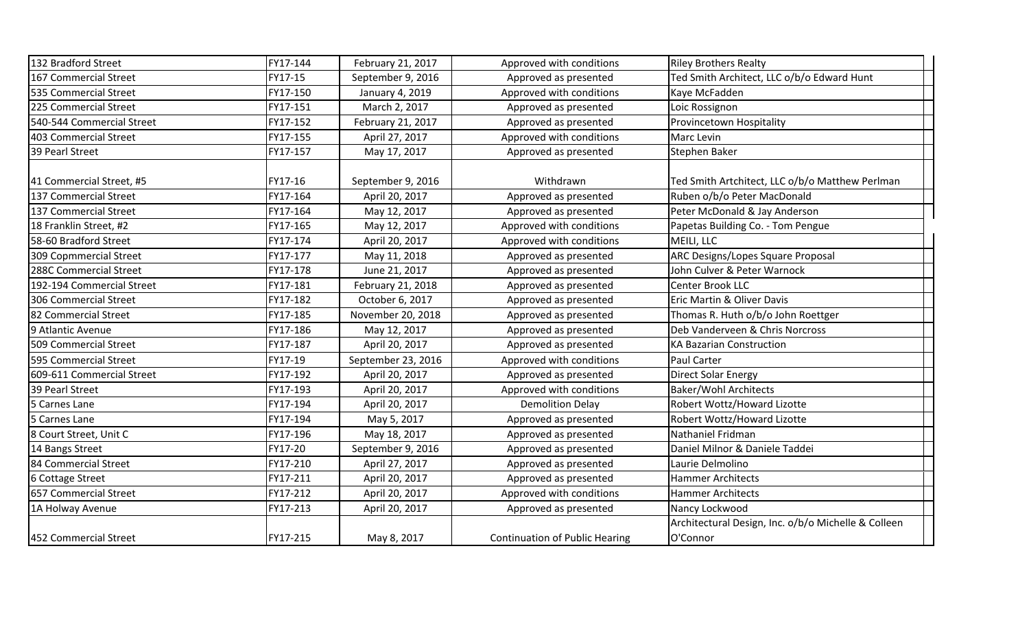| 132 Bradford Street       | FY17-144 | February 21, 2017  | Approved with conditions              | <b>Riley Brothers Realty</b>                                    |  |
|---------------------------|----------|--------------------|---------------------------------------|-----------------------------------------------------------------|--|
| 167 Commercial Street     | FY17-15  | September 9, 2016  | Approved as presented                 | Ted Smith Architect, LLC o/b/o Edward Hunt                      |  |
| 535 Commercial Street     | FY17-150 | January 4, 2019    | Approved with conditions              | Kaye McFadden                                                   |  |
| 225 Commercial Street     | FY17-151 | March 2, 2017      | Approved as presented                 | Loic Rossignon                                                  |  |
| 540-544 Commercial Street | FY17-152 | February 21, 2017  | Approved as presented                 | Provincetown Hospitality                                        |  |
| 403 Commercial Street     | FY17-155 | April 27, 2017     | Approved with conditions              | Marc Levin                                                      |  |
| 39 Pearl Street           | FY17-157 | May 17, 2017       | Approved as presented                 | Stephen Baker                                                   |  |
| 41 Commercial Street, #5  | FY17-16  | September 9, 2016  | Withdrawn                             | Ted Smith Artchitect, LLC o/b/o Matthew Perlman                 |  |
| 137 Commercial Street     | FY17-164 | April 20, 2017     | Approved as presented                 | Ruben o/b/o Peter MacDonald                                     |  |
| 137 Commercial Street     | FY17-164 | May 12, 2017       | Approved as presented                 | Peter McDonald & Jay Anderson                                   |  |
| 18 Franklin Street, #2    | FY17-165 | May 12, 2017       | Approved with conditions              | Papetas Building Co. - Tom Pengue                               |  |
| 58-60 Bradford Street     | FY17-174 | April 20, 2017     | Approved with conditions              | MEILI, LLC                                                      |  |
| 309 Copmmercial Street    | FY17-177 | May 11, 2018       | Approved as presented                 | ARC Designs/Lopes Square Proposal                               |  |
| 288C Commercial Street    | FY17-178 | June 21, 2017      | Approved as presented                 | John Culver & Peter Warnock                                     |  |
| 192-194 Commercial Street | FY17-181 | February 21, 2018  | Approved as presented                 | <b>Center Brook LLC</b>                                         |  |
| 306 Commercial Street     | FY17-182 | October 6, 2017    | Approved as presented                 | Eric Martin & Oliver Davis                                      |  |
| 82 Commercial Street      | FY17-185 | November 20, 2018  | Approved as presented                 | Thomas R. Huth o/b/o John Roettger                              |  |
| 9 Atlantic Avenue         | FY17-186 | May 12, 2017       | Approved as presented                 | Deb Vanderveen & Chris Norcross                                 |  |
| 509 Commercial Street     | FY17-187 | April 20, 2017     | Approved as presented                 | <b>KA Bazarian Construction</b>                                 |  |
| 595 Commercial Street     | FY17-19  | September 23, 2016 | Approved with conditions              | Paul Carter                                                     |  |
| 609-611 Commercial Street | FY17-192 | April 20, 2017     | Approved as presented                 | <b>Direct Solar Energy</b>                                      |  |
| 39 Pearl Street           | FY17-193 | April 20, 2017     | Approved with conditions              | <b>Baker/Wohl Architects</b>                                    |  |
| 5 Carnes Lane             | FY17-194 | April 20, 2017     | <b>Demolition Delay</b>               | Robert Wottz/Howard Lizotte                                     |  |
| 5 Carnes Lane             | FY17-194 | May 5, 2017        | Approved as presented                 | Robert Wottz/Howard Lizotte                                     |  |
| 8 Court Street, Unit C    | FY17-196 | May 18, 2017       | Approved as presented                 | Nathaniel Fridman                                               |  |
| 14 Bangs Street           | FY17-20  | September 9, 2016  | Approved as presented                 | Daniel Milnor & Daniele Taddei                                  |  |
| 84 Commercial Street      | FY17-210 | April 27, 2017     | Approved as presented                 | Laurie Delmolino                                                |  |
| 6 Cottage Street          | FY17-211 | April 20, 2017     | Approved as presented                 | <b>Hammer Architects</b>                                        |  |
| 657 Commercial Street     | FY17-212 | April 20, 2017     | Approved with conditions              | <b>Hammer Architects</b>                                        |  |
| 1A Holway Avenue          | FY17-213 | April 20, 2017     | Approved as presented                 | Nancy Lockwood                                                  |  |
| 452 Commercial Street     | FY17-215 | May 8, 2017        | <b>Continuation of Public Hearing</b> | Architectural Design, Inc. o/b/o Michelle & Colleen<br>O'Connor |  |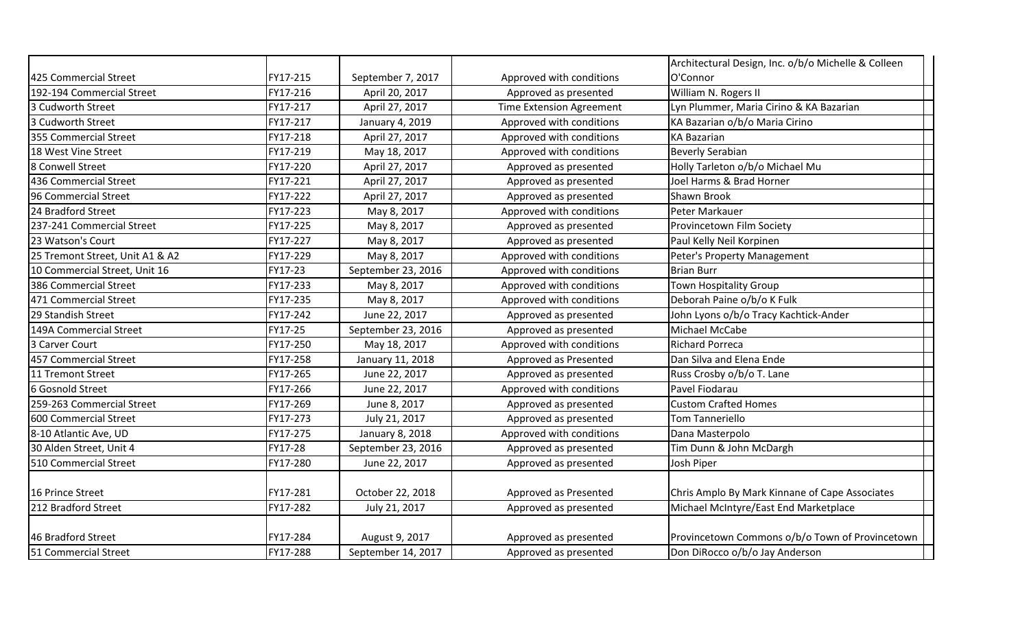|                                 |          |                    |                                 | Architectural Design, Inc. o/b/o Michelle & Colleen |
|---------------------------------|----------|--------------------|---------------------------------|-----------------------------------------------------|
| 425 Commercial Street           | FY17-215 | September 7, 2017  | Approved with conditions        | O'Connor                                            |
| 192-194 Commercial Street       | FY17-216 | April 20, 2017     | Approved as presented           | William N. Rogers II                                |
| 3 Cudworth Street               | FY17-217 | April 27, 2017     | <b>Time Extension Agreement</b> | Lyn Plummer, Maria Cirino & KA Bazarian             |
| 3 Cudworth Street               | FY17-217 | January 4, 2019    | Approved with conditions        | KA Bazarian o/b/o Maria Cirino                      |
| 355 Commercial Street           | FY17-218 | April 27, 2017     | Approved with conditions        | <b>KA Bazarian</b>                                  |
| 18 West Vine Street             | FY17-219 | May 18, 2017       | Approved with conditions        | <b>Beverly Serabian</b>                             |
| 8 Conwell Street                | FY17-220 | April 27, 2017     | Approved as presented           | Holly Tarleton o/b/o Michael Mu                     |
| 436 Commercial Street           | FY17-221 | April 27, 2017     | Approved as presented           | Joel Harms & Brad Horner                            |
| 96 Commercial Street            | FY17-222 | April 27, 2017     | Approved as presented           | <b>Shawn Brook</b>                                  |
| 24 Bradford Street              | FY17-223 | May 8, 2017        | Approved with conditions        | Peter Markauer                                      |
| 237-241 Commercial Street       | FY17-225 | May 8, 2017        | Approved as presented           | Provincetown Film Society                           |
| 23 Watson's Court               | FY17-227 | May 8, 2017        | Approved as presented           | Paul Kelly Neil Korpinen                            |
| 25 Tremont Street, Unit A1 & A2 | FY17-229 | May 8, 2017        | Approved with conditions        | Peter's Property Management                         |
| 10 Commercial Street, Unit 16   | FY17-23  | September 23, 2016 | Approved with conditions        | <b>Brian Burr</b>                                   |
| 386 Commercial Street           | FY17-233 | May 8, 2017        | Approved with conditions        | Town Hospitality Group                              |
| 471 Commercial Street           | FY17-235 | May 8, 2017        | Approved with conditions        | Deborah Paine o/b/o K Fulk                          |
| 29 Standish Street              | FY17-242 | June 22, 2017      | Approved as presented           | John Lyons o/b/o Tracy Kachtick-Ander               |
| 149A Commercial Street          | FY17-25  | September 23, 2016 | Approved as presented           | Michael McCabe                                      |
| 3 Carver Court                  | FY17-250 | May 18, 2017       | Approved with conditions        | <b>Richard Porreca</b>                              |
| 457 Commercial Street           | FY17-258 | January 11, 2018   | Approved as Presented           | Dan Silva and Elena Ende                            |
| 11 Tremont Street               | FY17-265 | June 22, 2017      | Approved as presented           | Russ Crosby o/b/o T. Lane                           |
| 6 Gosnold Street                | FY17-266 | June 22, 2017      | Approved with conditions        | Pavel Fiodarau                                      |
| 259-263 Commercial Street       | FY17-269 | June 8, 2017       | Approved as presented           | <b>Custom Crafted Homes</b>                         |
| 600 Commercial Street           | FY17-273 | July 21, 2017      | Approved as presented           | <b>Tom Tanneriello</b>                              |
| 8-10 Atlantic Ave, UD           | FY17-275 | January 8, 2018    | Approved with conditions        | Dana Masterpolo                                     |
| 30 Alden Street, Unit 4         | FY17-28  | September 23, 2016 | Approved as presented           | Tim Dunn & John McDargh                             |
| 510 Commercial Street           | FY17-280 | June 22, 2017      | Approved as presented           | Josh Piper                                          |
| 16 Prince Street                | FY17-281 | October 22, 2018   | Approved as Presented           | Chris Amplo By Mark Kinnane of Cape Associates      |
| 212 Bradford Street             | FY17-282 | July 21, 2017      | Approved as presented           | Michael McIntyre/East End Marketplace               |
| 46 Bradford Street              | FY17-284 | August 9, 2017     | Approved as presented           | Provincetown Commons o/b/o Town of Provincetown     |
| 51 Commercial Street            | FY17-288 | September 14, 2017 | Approved as presented           | Don DiRocco o/b/o Jay Anderson                      |